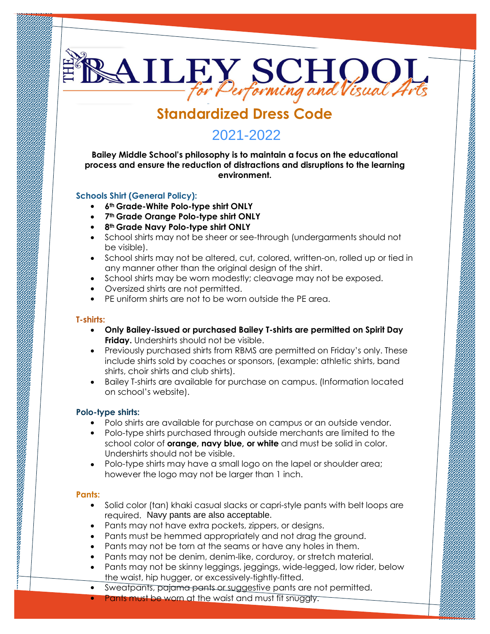# **Standardized Dress Code**

**BAILEY SCHOOL** 

# **2019-2020 2020-2021** 2021-2022

**Bailey Middle School's philosophy is to maintain a focus on the educational process and ensure the reduction of distractions and disruptions to the learning environment.**

# **Schools Shirt (General Policy):**

- **6th Grade-White Polo-type shirt ONLY**
- **7th Grade Orange Polo-type shirt ONLY**
- **8th Grade Navy Polo-type shirt ONLY**
- School shirts may not be sheer or see-through (undergarments should not be visible).
- School shirts may not be altered, cut, colored, written-on, rolled up or tied in any manner other than the original design of the shirt.
- School shirts may be worn modestly; cleavage may not be exposed.
- Oversized shirts are not permitted.
- PE uniform shirts are not to be worn outside the PE area. •

# **T-shirts:**

- **Only Bailey-issued or purchased Bailey T-shirts are permitted on Spirit Day Friday.** Undershirts should not be visible.
- Previously purchased shirts from RBMS are permitted on Friday's only. These include shirts sold by coaches or sponsors, (example: athletic shirts, band shirts, choir shirts and club shirts).
- Bailey T-shirts are available for purchase on campus. (Information located on school's website).

# **Polo-type shirts:**

- Polo shirts are available for purchase on campus or an outside vendor.
- Polo-type shirts purchased through outside merchants are limited to the school color of **orange, navy blue, or white** and must be solid in color. Undershirts should not be visible.
- Polo-type shirts may have a small logo on the lapel or shoulder area; however the logo may not be larger than 1 inch.

# **Pants:**

- Solid color (tan) khaki casual slacks or capri-style pants with belt loops are required. Navy pants are also acceptable.
- Pants may not have extra pockets, zippers, or designs.
- Pants must be hemmed appropriately and not drag the ground. •
- Pants may not be torn at the seams or have any holes in them. •
- Pants may not be denim, denim-like, corduroy, or stretch material.
- Pants may not be skinny leggings, jeggings, wide-legged, low rider, below the waist, hip hugger, or excessively-tightly-fitted. •
- Sweatpants, pajama pants or suggestive pants are not permitted. •
- Pants must be worn at the waist and must fit snuggly. •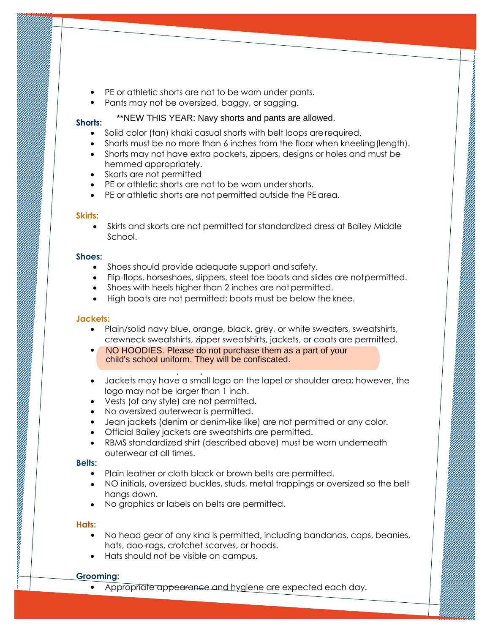- PE or athletic shorts are not to be worn under pants.
- Pants may not be oversized, baggy, or sagging.

#### **Shorts:**

- \*\*NEW THIS YEAR: Navy shorts and pants are allowed.
- Solid color (tan) khaki casual shorts with belt loops are required.
- Shorts must be no more than 6 inches from the floor when kneeling(length).

- Shorts may not have extra pockets, zippers, designs or holes and must be hemmed appropriately.
- Skorts are not permitted
- PE or athletic shorts are not to be worn undershorts.
- PE or athletic shorts are not permitted outside the PE area.

### **Skirts:**

• Skirts and skorts are not permitted for standardized dress at Bailey Middle School.

#### **Shoes:**

- Shoes should provide adequate support and safety.
- Flip-flops, horseshoes, slippers, steel toe boots and slides are notpermitted.
- Shoes with heels higher than 2 inches are not permitted.
- High boots are not permitted; boots must be below theknee.

# **Jackets:**

- Plain/solid navy blue, orange, black, grey, or white sweaters, sweatshirts, crewneck sweatshirts, zipper sweatshirts, jackets, or coats are permitted.
- NO HOODIES. Please do not purchase them as a part of your child's school uniform. They will be confiscated.

- be removed completely. Jackets may have a small logo on the lapel or shoulder area; however, the logo may not be larger than 1 inch. •
- Vests (of any style) are not permitted. •
- No oversized outerwear is permitted. •
- Jean jackets (denim or denim-like like) are not permitted or any color. •
- Official Bailey jackets are sweatshirts are permitted. •
- RBMS standardized shirt (described above) must be worn underneath outerwear at all times. •

# **Belts:**

- Plain leather or cloth black or brown belts are permitted.
- NO initials, oversized buckles, studs, metal trappings or oversized so the belt hangs down.
- No graphics or labels on belts are permitted.

# **Hats:**

- No head gear of any kind is permitted, including bandanas, caps, beanies, hats, doo-rags, crotchet scarves, or hoods.
- Hats should not be visible on campus.

#### **Grooming:**

• Appropriate appearance and hygiene are expected each day.